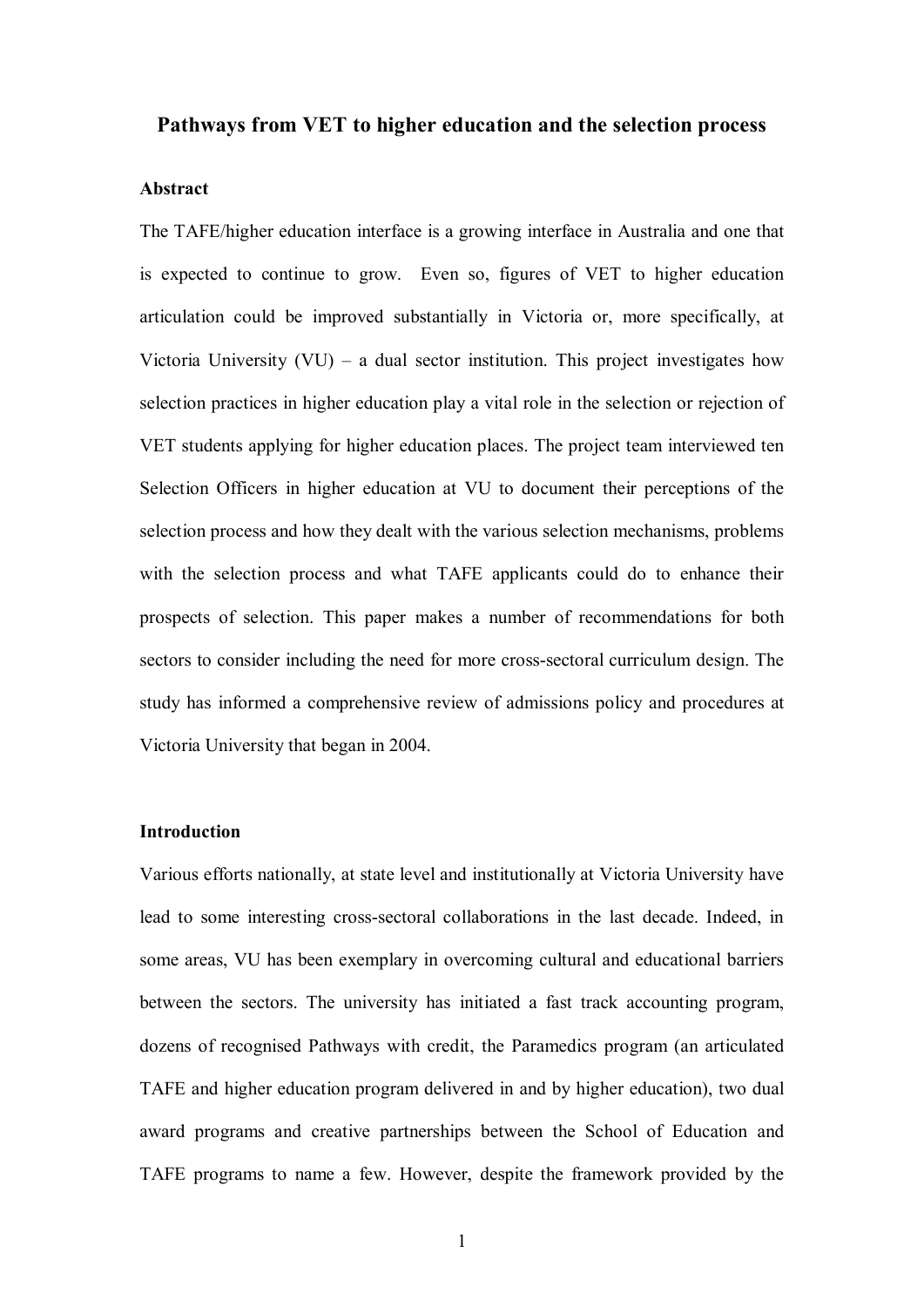## **Pathways from VET to higher education and the selection process**

## **Abstract**

The TAFE/higher education interface is a growing interface in Australia and one that is expected to continue to grow. Even so, figures of VET to higher education articulation could be improved substantially in Victoria or, more specifically, at Victoria University  $(VU)$  – a dual sector institution. This project investigates how selection practices in higher education play a vital role in the selection or rejection of VET students applying for higher education places. The project team interviewed ten Selection Officers in higher education at VU to document their perceptions of the selection process and how they dealt with the various selection mechanisms, problems with the selection process and what TAFE applicants could do to enhance their prospects of selection. This paper makes a number of recommendations for both sectors to consider including the need for more cross-sectoral curriculum design. The study has informed a comprehensive review of admissions policy and procedures at Victoria University that began in 2004.

## **Introduction**

Various efforts nationally, at state level and institutionally at Victoria University have lead to some interesting cross-sectoral collaborations in the last decade. Indeed, in some areas, VU has been exemplary in overcoming cultural and educational barriers between the sectors. The university has initiated a fast track accounting program, dozens of recognised Pathways with credit, the Paramedics program (an articulated TAFE and higher education program delivered in and by higher education), two dual award programs and creative partnerships between the School of Education and TAFE programs to name a few. However, despite the framework provided by the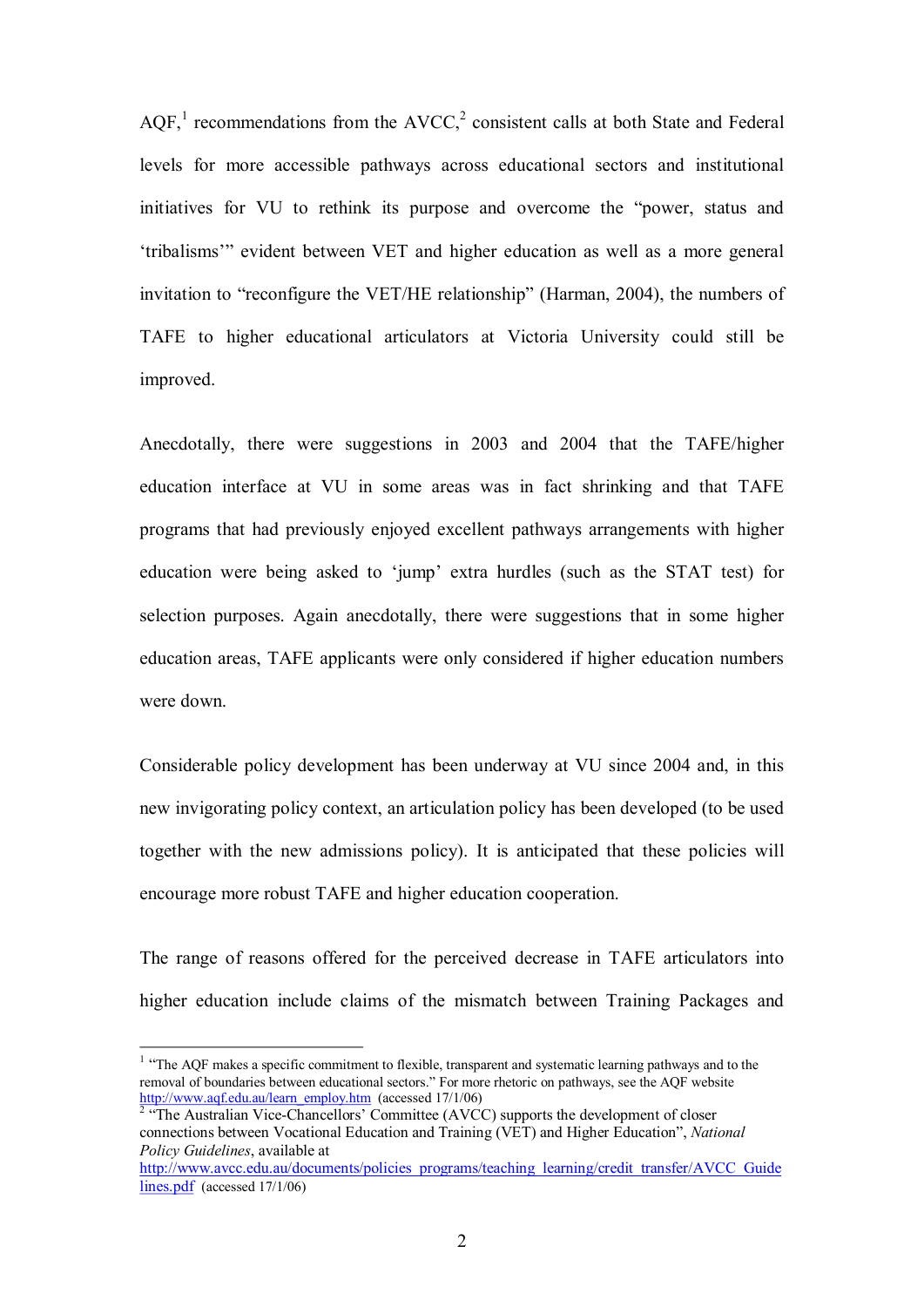AOF, $<sup>1</sup>$  recommendations from the AVCC, $<sup>2</sup>$  consistent calls at both State and Federal</sup></sup> levels for more accessible pathways across educational sectors and institutional initiatives for VU to rethink its purpose and overcome the "power, status and 'tribalisms'" evident between VET and higher education as well as a more general invitation to "reconfigure the VET/HE relationship" (Harman, 2004), the numbers of TAFE to higher educational articulators at Victoria University could still be improved.

Anecdotally, there were suggestions in 2003 and 2004 that the TAFE/higher education interface at VU in some areas was in fact shrinking and that TAFE programs that had previously enjoyed excellent pathways arrangements with higher education were being asked to 'jump' extra hurdles (such as the STAT test) for selection purposes. Again anecdotally, there were suggestions that in some higher education areas, TAFE applicants were only considered if higher education numbers were down.

Considerable policy development has been underway at VU since 2004 and, in this new invigorating policy context, an articulation policy has been developed (to be used together with the new admissions policy). It is anticipated that these policies will encourage more robust TAFE and higher education cooperation.

The range of reasons offered for the perceived decrease in TAFE articulators into higher education include claims of the mismatch between Training Packages and

<sup>&</sup>lt;sup>1</sup> "The AQF makes a specific commitment to flexible, transparent and systematic learning pathways and to the removal of boundaries between educational sectors." For more rhetoric on pathways, see the AQF website [http://www.aqf.edu.au/learn\\_employ.htm](http://www.aqf.edu.au/learn_employ.htm) (accessed 17/1/06) <sup>2</sup> "The Australian Vice-Chancellors' Committee (AVCC) supports the development of closer

connections between Vocational Education and Training (VET) and Higher Education", *National Policy Guidelines*, available at

[http://www.avcc.edu.au/documents/policies\\_programs/teaching\\_learning/credit\\_transfer/AVCC\\_Guide](http://www.avcc.edu.au/documents/policies_programs/teaching_learning/credit_transfer/AVCC_Guidelines.pdf) lines.pdf (accessed 17/1/06)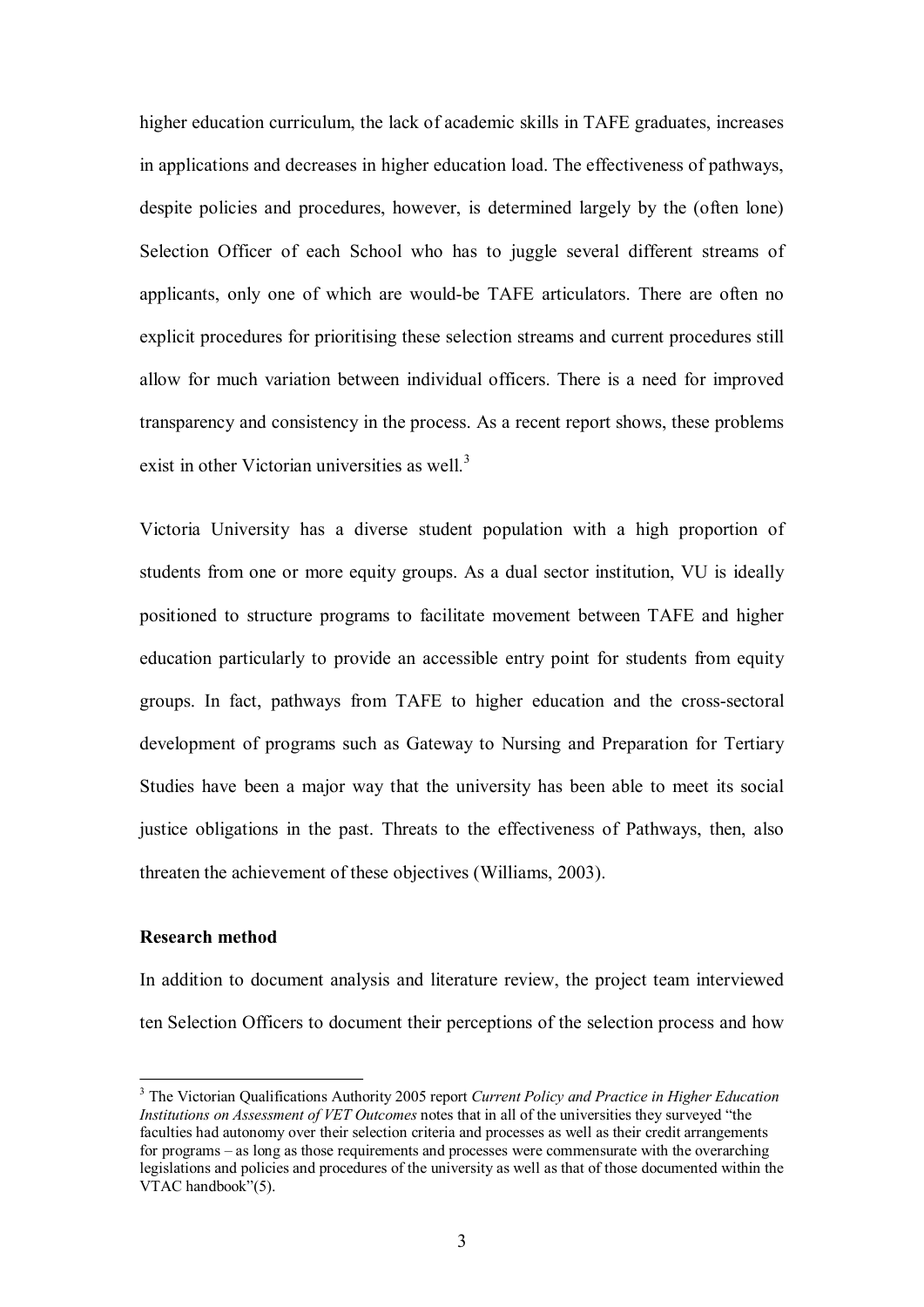higher education curriculum, the lack of academic skills in TAFE graduates, increases in applications and decreases in higher education load. The effectiveness of pathways, despite policies and procedures, however, is determined largely by the (often lone) Selection Officer of each School who has to juggle several different streams of applicants, only one of which are would-be TAFE articulators. There are often no explicit procedures for prioritising these selection streams and current procedures still allow for much variation between individual officers. There is a need for improved transparency and consistency in the process. As a recent report shows, these problems exist in other Victorian universities as well.<sup>3</sup>

Victoria University has a diverse student population with a high proportion of students from one or more equity groups. As a dual sector institution, VU is ideally positioned to structure programs to facilitate movement between TAFE and higher education particularly to provide an accessible entry point for students from equity groups. In fact, pathways from TAFE to higher education and the crosssectoral development of programs such as Gateway to Nursing and Preparation for Tertiary Studies have been a major way that the university has been able to meet its social justice obligations in the past. Threats to the effectiveness of Pathways, then, also threaten the achievement of these objectives (Williams, 2003).

## **Research method**

In addition to document analysis and literature review, the project team interviewed ten Selection Officers to document their perceptions of the selection process and how

<sup>3</sup> The Victorian Qualifications Authority 2005 report *Current Policy and Practice in Higher Education Institutions on Assessment of VET Outcomes* notes that in all of the universities they surveyed "the faculties had autonomy over their selection criteria and processes as well as their credit arrangements for programs – as long as those requirements and processes were commensurate with the overarching legislations and policies and procedures of the university as well as that of those documented within the VTAC handbook"(5).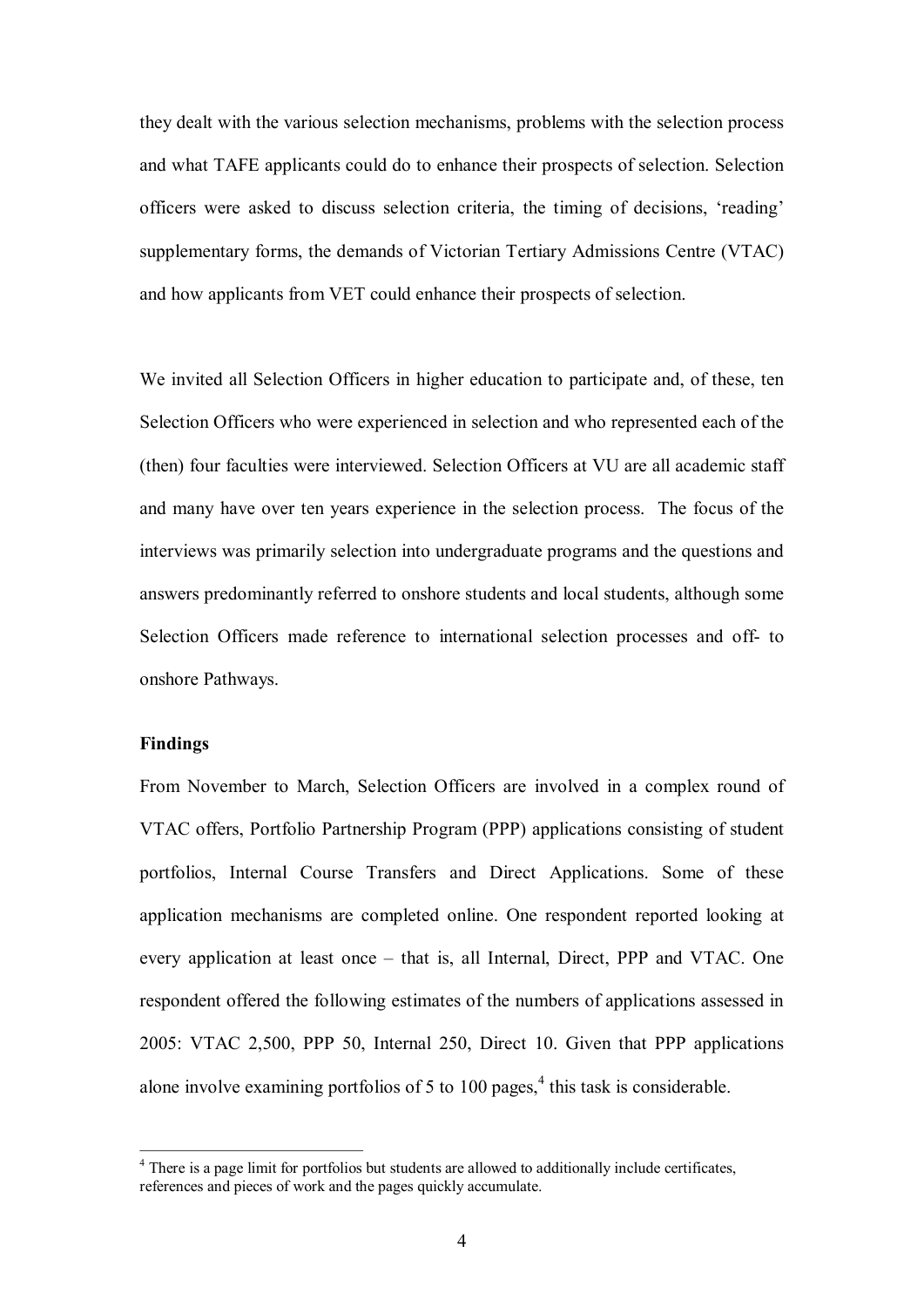they dealt with the various selection mechanisms, problems with the selection process and what TAFE applicants could do to enhance their prospects of selection. Selection officers were asked to discuss selection criteria, the timing of decisions, 'reading' supplementary forms, the demands of Victorian Tertiary Admissions Centre (VTAC) and how applicants from VET could enhance their prospects of selection.

We invited all Selection Officers in higher education to participate and, of these, ten Selection Officers who were experienced in selection and who represented each of the (then) four faculties were interviewed. Selection Officers at VU are all academic staff and many have over ten years experience in the selection process. The focus of the interviews was primarily selection into undergraduate programs and the questions and answers predominantly referred to onshore students and local students, although some Selection Officers made reference to international selection processes and off- to onshore Pathways.

## **Findings**

From November to March, Selection Officers are involved in a complex round of VTAC offers, Portfolio Partnership Program (PPP) applications consisting of student portfolios, Internal Course Transfers and Direct Applications. Some of these application mechanisms are completed online. One respondent reported looking at every application at least once – that is, all Internal, Direct, PPP and VTAC. One respondent offered the following estimates of the numbers of applications assessed in 2005: VTAC 2,500, PPP 50, Internal 250, Direct 10. Given that PPP applications alone involve examining portfolios of 5 to 100 pages, $<sup>4</sup>$  this task is considerable.</sup>

<sup>4</sup> There is a page limit for portfolios but students are allowed to additionally include certificates, references and pieces of work and the pages quickly accumulate.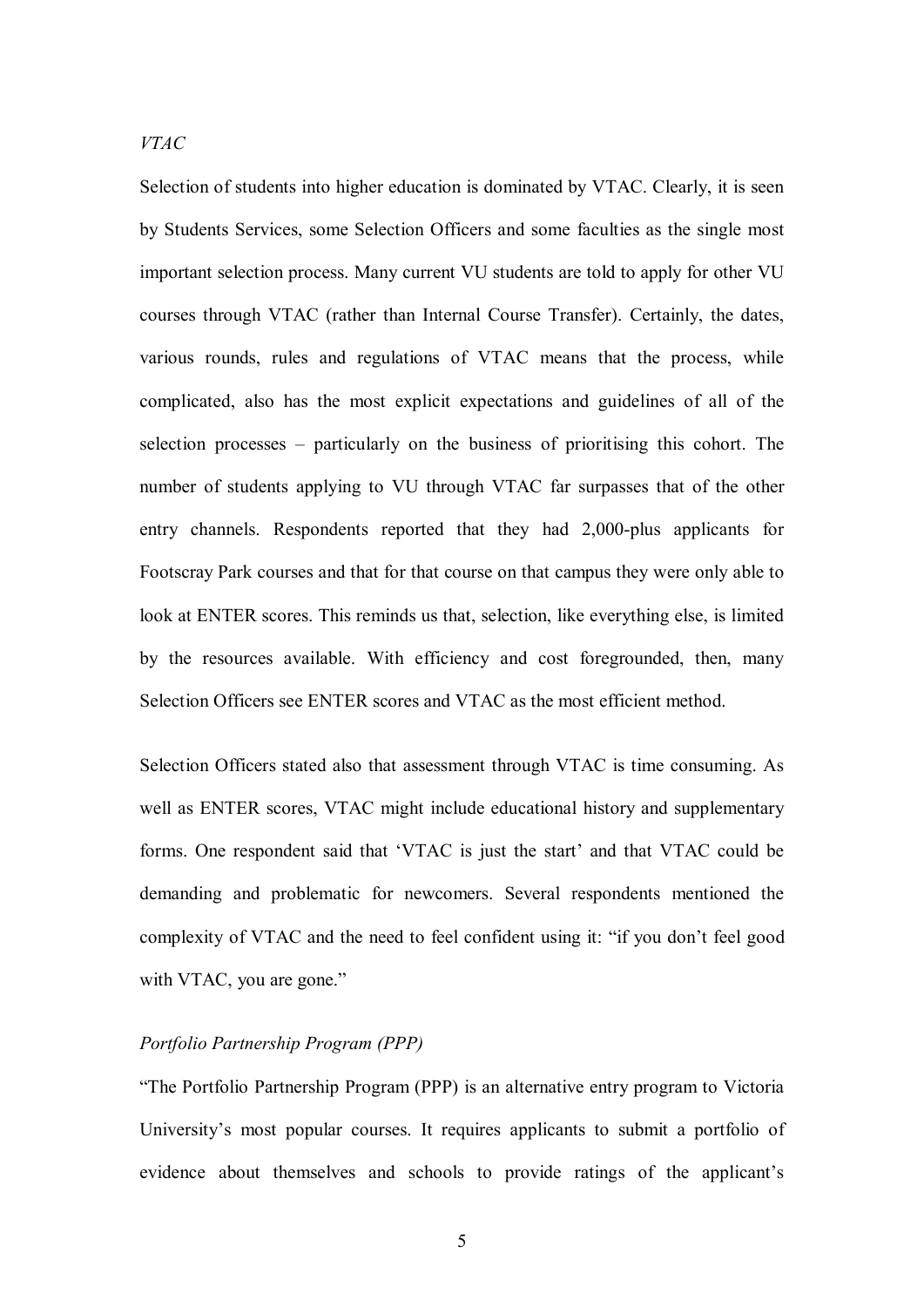*VTAC*

Selection of students into higher education is dominated by VTAC. Clearly, it is seen by Students Services, some Selection Officers and some faculties as the single most important selection process. Many current VU students are told to apply for other VU courses through VTAC (rather than Internal Course Transfer). Certainly, the dates, various rounds, rules and regulations of VTAC means that the process, while complicated, also has the most explicit expectations and guidelines of all of the selection processes – particularly on the business of prioritising this cohort. The number of students applying to VU through VTAC far surpasses that of the other entry channels. Respondents reported that they had  $2,000$ -plus applicants for Footscray Park courses and that for that course on that campus they were only able to look at ENTER scores. This reminds us that, selection, like everything else, is limited by the resources available. With efficiency and cost foregrounded, then, many Selection Officers see ENTER scores and VTAC as the most efficient method.

Selection Officers stated also that assessment through VTAC is time consuming. As well as ENTER scores, VTAC might include educational history and supplementary forms. One respondent said that 'VTAC is just the start' and that VTAC could be demanding and problematic for newcomers. Several respondents mentioned the complexity of VTAC and the need to feel confident using it: "if you don't feel good with VTAC, you are gone."

## *Portfolio Partnership Program (PPP)*

"The Portfolio Partnership Program (PPP) is an alternative entry program to Victoria University's most popular courses. It requires applicants to submit a portfolio of evidence about themselves and schools to provide ratings of the applicant's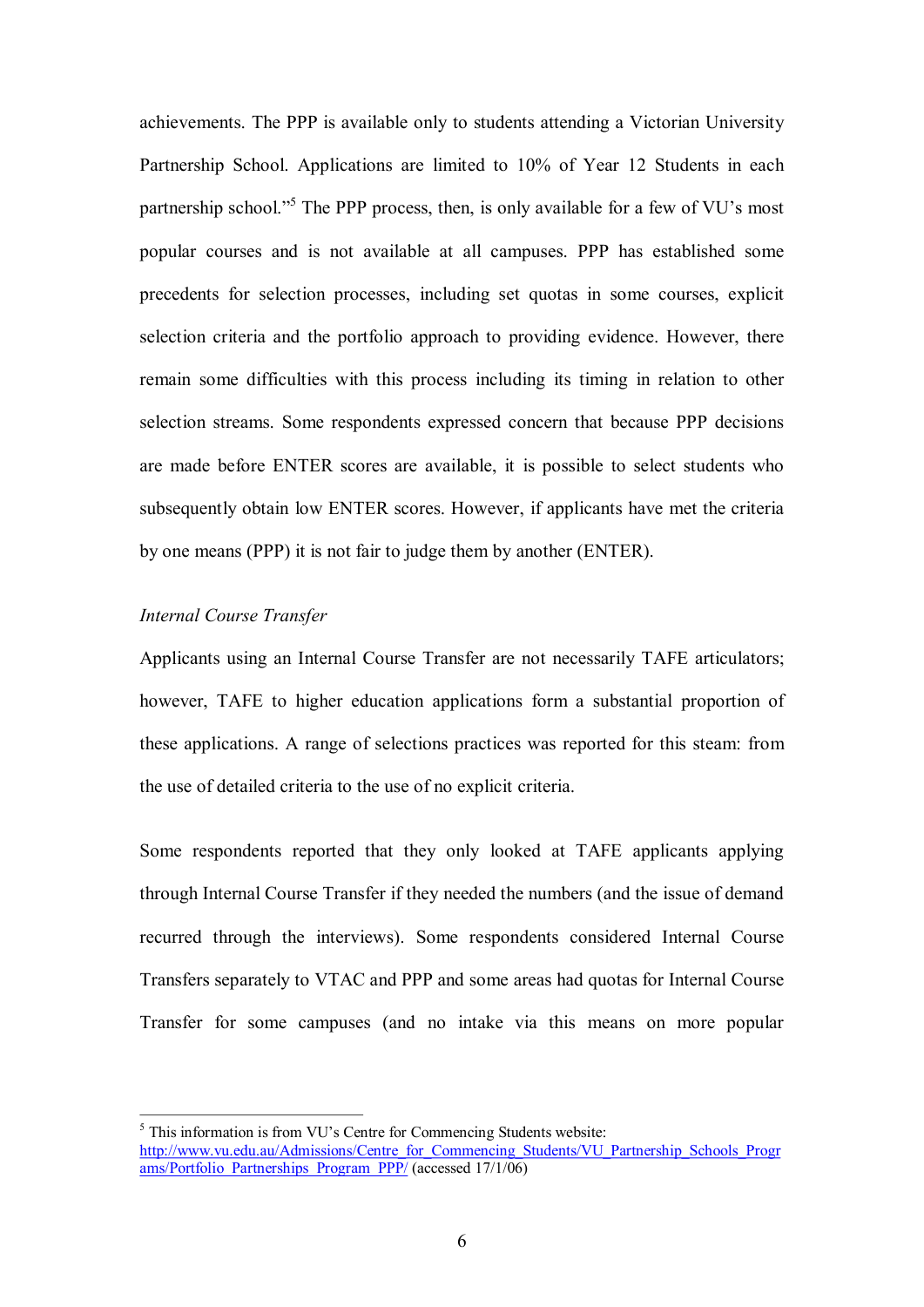achievements. The PPP is available only to students attending a Victorian University Partnership School. Applications are limited to 10% of Year 12 Students in each partnership school."<sup>5</sup> The PPP process, then, is only available for a few of VU's most popular courses and is not available at all campuses. PPP has established some precedents for selection processes, including set quotas in some courses, explicit selection criteria and the portfolio approach to providing evidence. However, there remain some difficulties with this process including its timing in relation to other selection streams. Some respondents expressed concern that because PPP decisions are made before ENTER scores are available, it is possible to select students who subsequently obtain low ENTER scores. However, if applicants have met the criteria by one means (PPP) it is not fair to judge them by another (ENTER).

## *Internal Course Transfer*

Applicants using an Internal Course Transfer are not necessarily TAFE articulators; however, TAFE to higher education applications form a substantial proportion of these applications. A range of selections practices was reported for this steam: from the use of detailed criteria to the use of no explicit criteria.

Some respondents reported that they only looked at TAFE applicants applying through Internal Course Transfer if they needed the numbers (and the issue of demand recurred through the interviews). Some respondents considered Internal Course Transfers separately to VTAC and PPP and some areas had quotas for Internal Course Transfer for some campuses (and no intake via this means on more popular

 $5$  This information is from VU's Centre for Commencing Students website: [http://www.vu.edu.au/Admissions/Centre\\_for\\_Commencing\\_Students/VU\\_Partnership\\_Schools\\_Progr](http://www.vu.edu.au/Admissions/Centre_for_Commencing_Students/VU_Partnership_Schools_Programs/Portfolio_Partnerships_Program_PPP/) ams/Portfolio\_Partnerships\_Program\_PPP/ (accessed 17/1/06)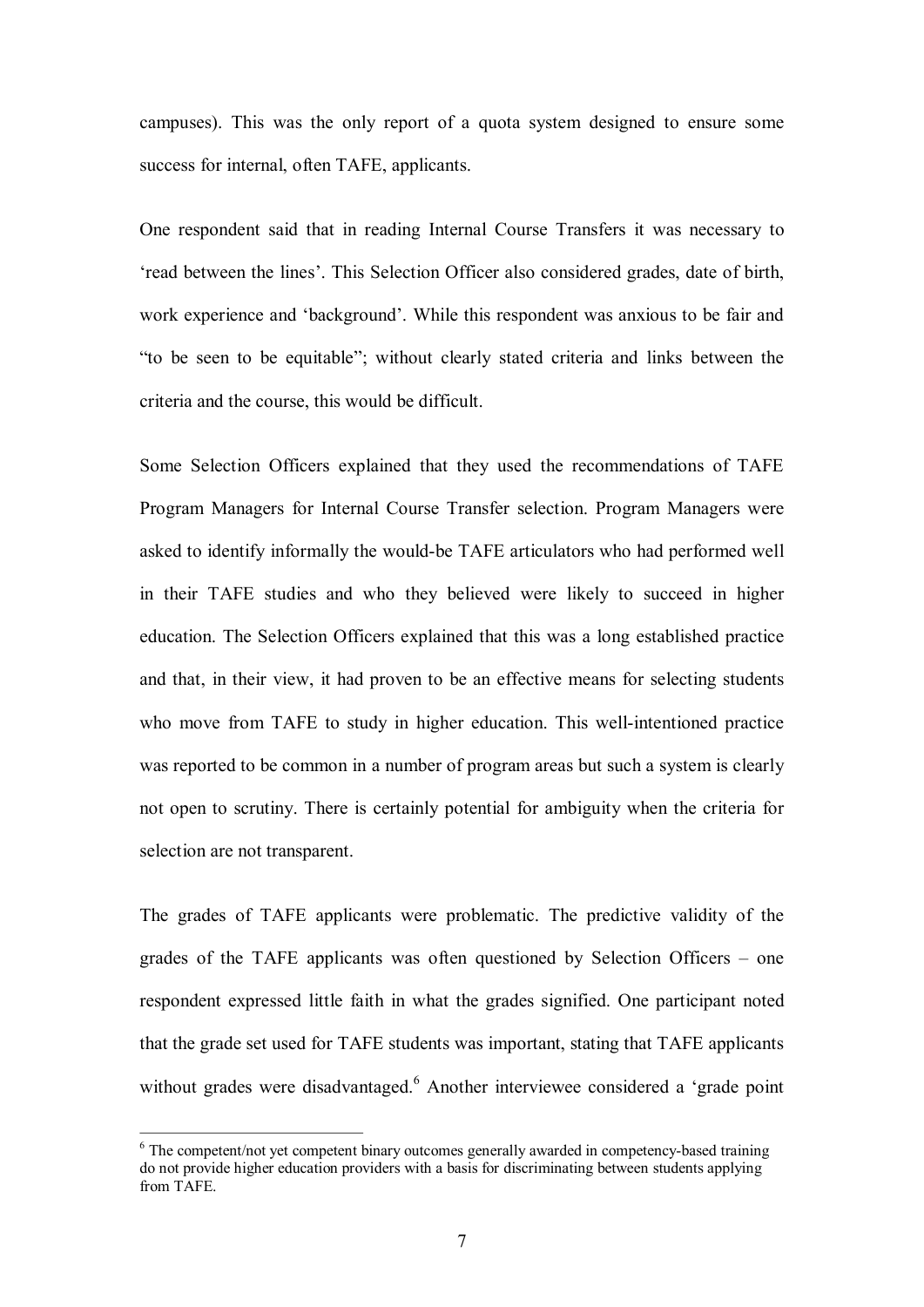campuses). This was the only report of a quota system designed to ensure some success for internal, often TAFE, applicants.

One respondent said that in reading Internal Course Transfers it was necessary to 'read between the lines'. This Selection Officer also considered grades, date of birth, work experience and 'background'. While this respondent was anxious to be fair and "to be seen to be equitable"; without clearly stated criteria and links between the criteria and the course, this would be difficult.

Some Selection Officers explained that they used the recommendations of TAFE Program Managers for Internal Course Transfer selection. Program Managers were asked to identify informally the would-be TAFE articulators who had performed well in their TAFE studies and who they believed were likely to succeed in higher education. The Selection Officers explained that this was a long established practice and that, in their view, it had proven to be an effective means for selecting students who move from TAFE to study in higher education. This well-intentioned practice was reported to be common in a number of program areas but such a system is clearly not open to scrutiny. There is certainly potential for ambiguity when the criteria for selection are not transparent.

The grades of TAFE applicants were problematic. The predictive validity of the grades of the TAFE applicants was often questioned by Selection Officers – one respondent expressed little faith in what the grades signified. One participant noted that the grade set used for TAFE students was important, stating that TAFE applicants without grades were disadvantaged.<sup>6</sup> Another interviewee considered a 'grade point

 $6$  The competent/not vet competent binary outcomes generally awarded in competency-based training do not provide higher education providers with a basis for discriminating between students applying from TAFE.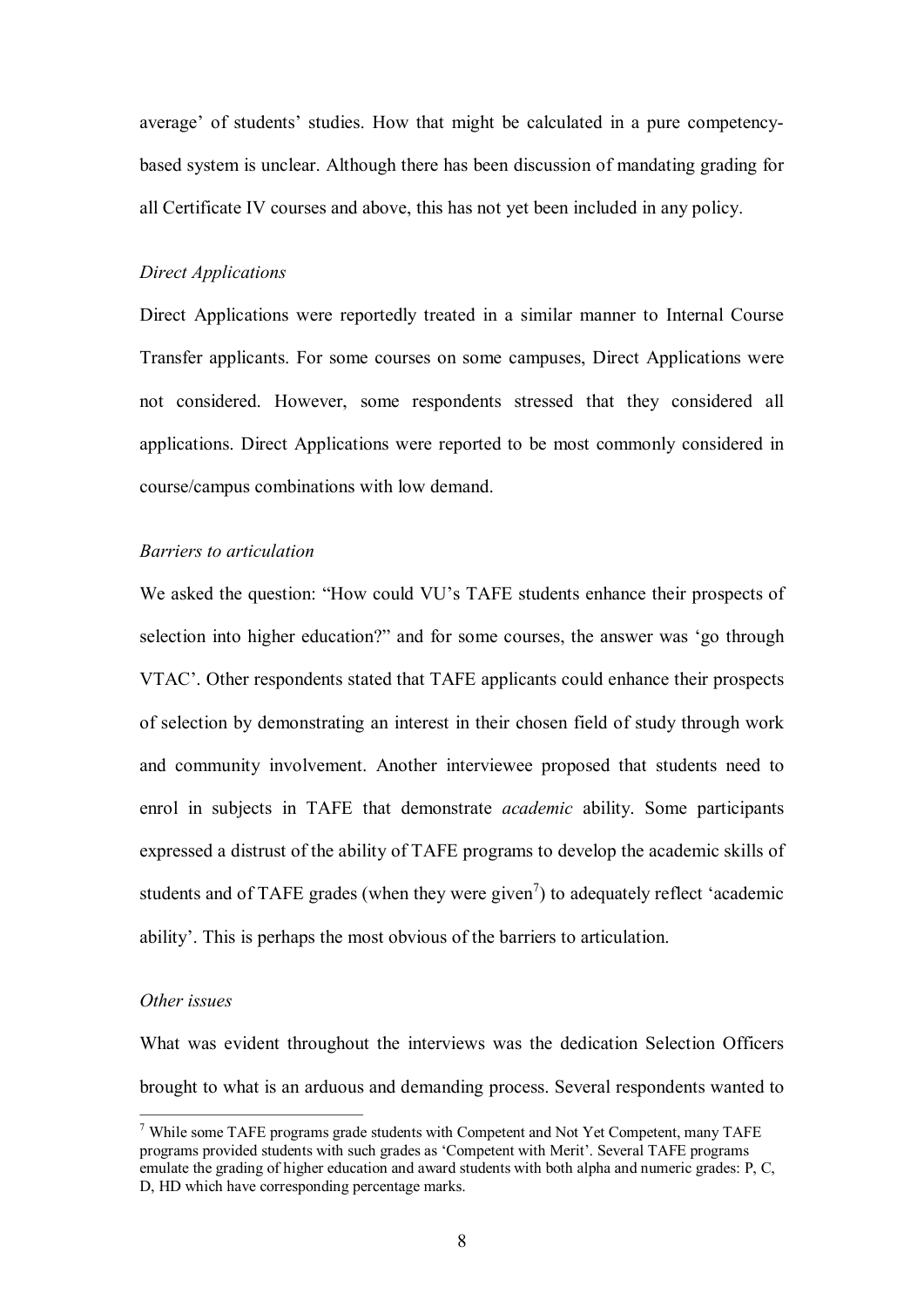average' of students' studies. How that might be calculated in a pure competencybased system is unclear. Although there has been discussion of mandating grading for all Certificate IV courses and above, this has not yet been included in any policy.

## *Direct Applications*

Direct Applications were reportedly treated in a similar manner to Internal Course Transfer applicants. For some courses on some campuses, Direct Applications were not considered. However, some respondents stressed that they considered all applications. Direct Applications were reported to be most commonly considered in course/campus combinations with low demand.

## *Barriers to articulation*

We asked the question: "How could VU's TAFE students enhance their prospects of selection into higher education?" and for some courses, the answer was 'go through VTAC'. Other respondents stated that TAFE applicants could enhance their prospects of selection by demonstrating an interest in their chosen field of study through work and community involvement. Another interviewee proposed that students need to enrol in subjects in TAFE that demonstrate *academic* ability. Some participants expressed a distrust of the ability of TAFE programs to develop the academic skills of students and of TAFE grades (when they were given<sup>7</sup>) to adequately reflect 'academic ability'. This is perhaps the most obvious of the barriers to articulation.

#### *Other issues*

What was evident throughout the interviews was the dedication Selection Officers brought to what is an arduous and demanding process. Several respondents wanted to

<sup>&</sup>lt;sup>7</sup> While some TAFE programs grade students with Competent and Not Yet Competent, many TAFE programs provided students with such grades as 'Competent with Merit'. Several TAFE programs emulate the grading of higher education and award students with both alpha and numeric grades: P, C, D, HD which have corresponding percentage marks.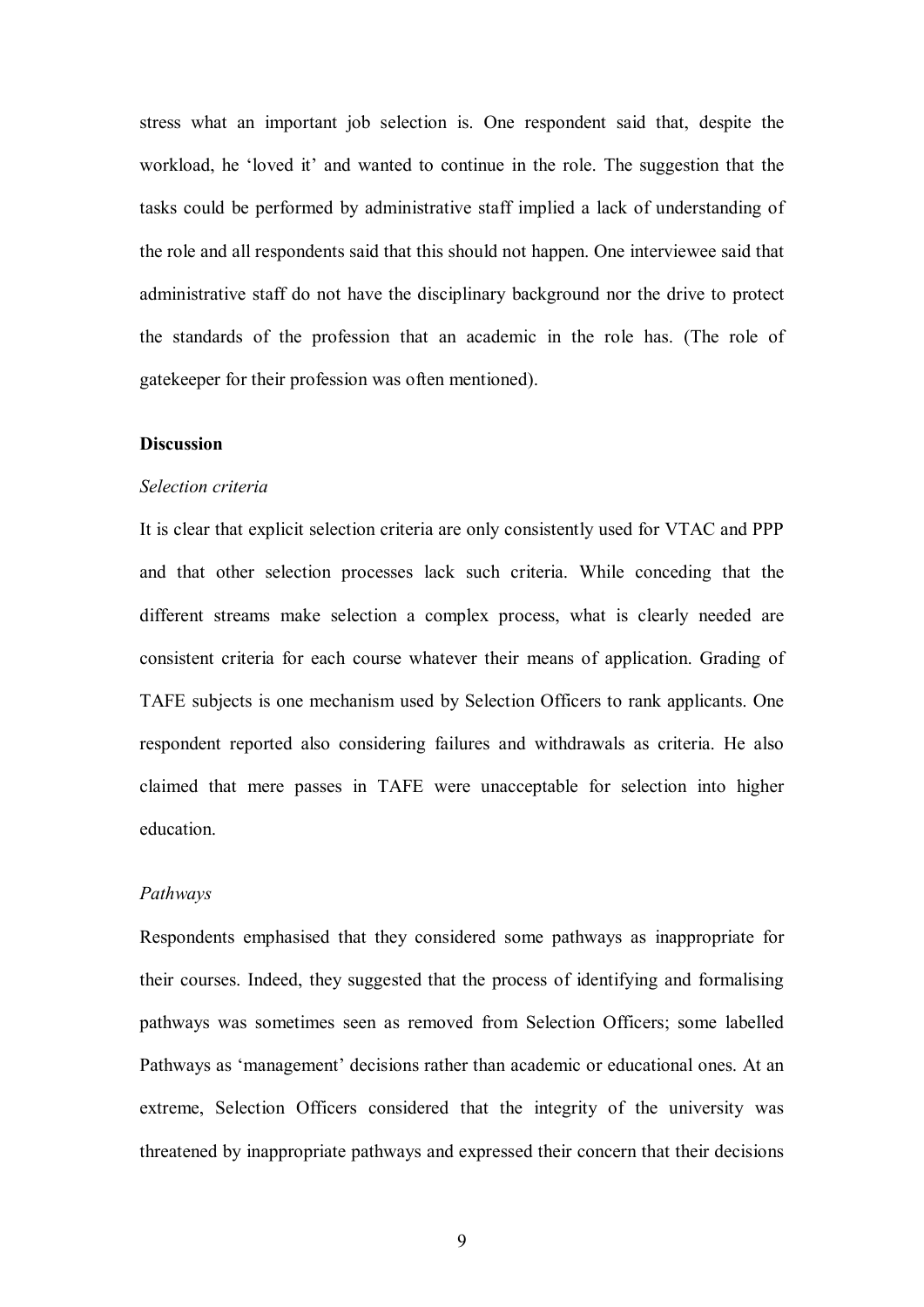stress what an important job selection is. One respondent said that, despite the workload, he 'loved it' and wanted to continue in the role. The suggestion that the tasks could be performed by administrative staff implied a lack of understanding of the role and all respondents said that this should not happen. One interviewee said that administrative staff do not have the disciplinary background nor the drive to protect the standards of the profession that an academic in the role has. (The role of gatekeeper for their profession was often mentioned).

## **Discussion**

#### *Selection criteria*

It is clear that explicit selection criteria are only consistently used for VTAC and PPP and that other selection processes lack such criteria. While conceding that the different streams make selection a complex process, what is clearly needed are consistent criteria for each course whatever their means of application. Grading of TAFE subjects is one mechanism used by Selection Officers to rank applicants. One respondent reported also considering failures and withdrawals as criteria. He also claimed that mere passes in TAFE were unacceptable for selection into higher education.

#### *Pathways*

Respondents emphasised that they considered some pathways as inappropriate for their courses. Indeed, they suggested that the process of identifying and formalising pathways was sometimes seen as removed from Selection Officers; some labelled Pathways as 'management' decisions rather than academic or educational ones. At an extreme, Selection Officers considered that the integrity of the university was threatened by inappropriate pathways and expressed their concern that their decisions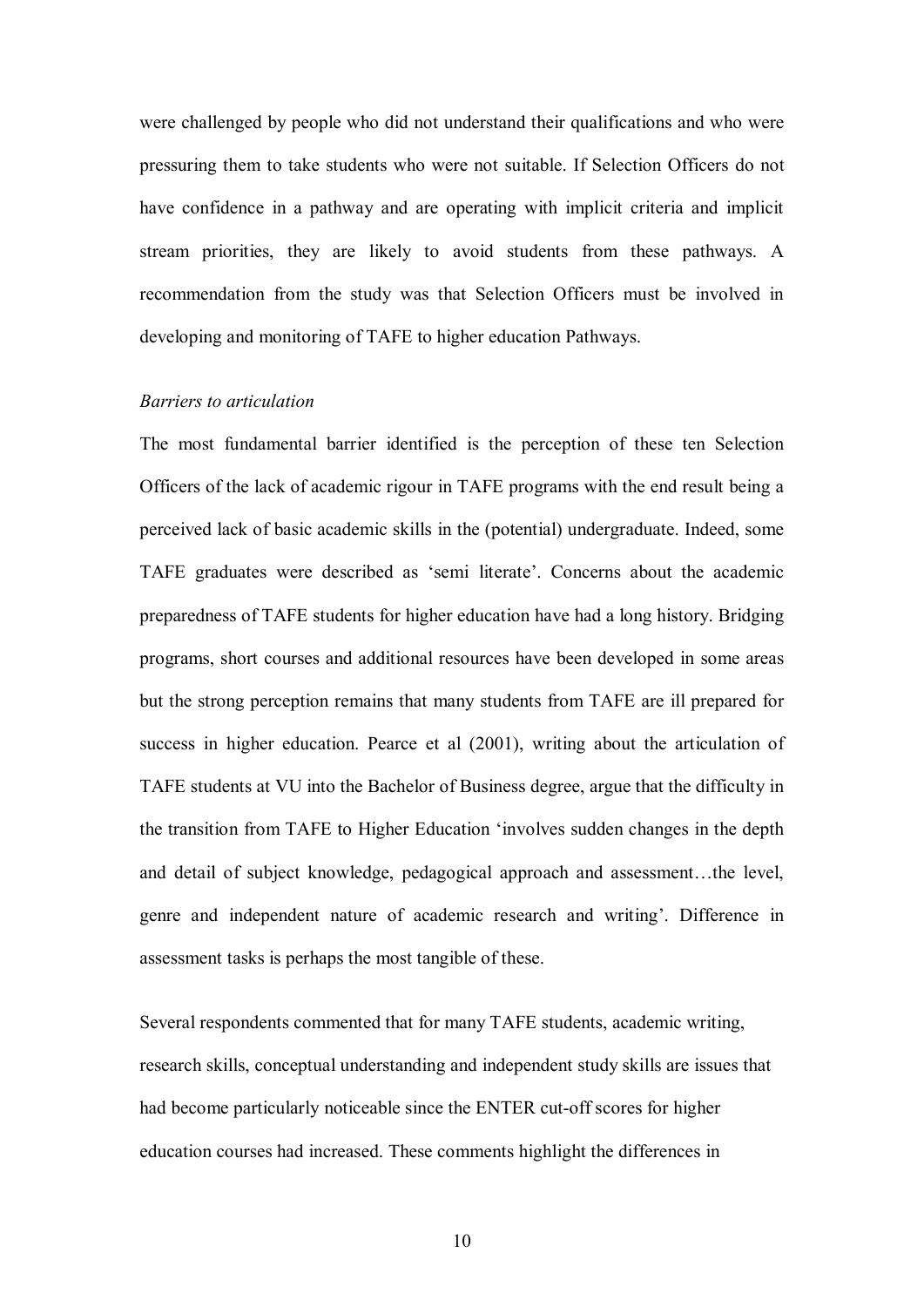were challenged by people who did not understand their qualifications and who were pressuring them to take students who were not suitable. If Selection Officers do not have confidence in a pathway and are operating with implicit criteria and implicit stream priorities, they are likely to avoid students from these pathways. A recommendation from the study was that Selection Officers must be involved in developing and monitoring of TAFE to higher education Pathways.

## *Barriers to articulation*

The most fundamental barrier identified is the perception of these ten Selection Officers of the lack of academic rigour in TAFE programs with the end result being a perceived lack of basic academic skills in the (potential) undergraduate. Indeed, some TAFE graduates were described as 'semi literate'. Concerns about the academic preparedness of TAFE students for higher education have had a long history. Bridging programs, short courses and additional resources have been developed in some areas but the strong perception remains that many students from TAFE are ill prepared for success in higher education. Pearce et al (2001), writing about the articulation of TAFE students at VU into the Bachelor of Business degree, argue that the difficulty in the transition from TAFE to Higher Education 'involves sudden changes in the depth and detail of subject knowledge, pedagogical approach and assessment…the level, genre and independent nature of academic research and writing'. Difference in assessment tasks is perhaps the most tangible of these.

Several respondents commented that for many TAFE students, academic writing, research skills, conceptual understanding and independent study skills are issues that had become particularly noticeable since the ENTER cut-off scores for higher education courses had increased. These comments highlight the differences in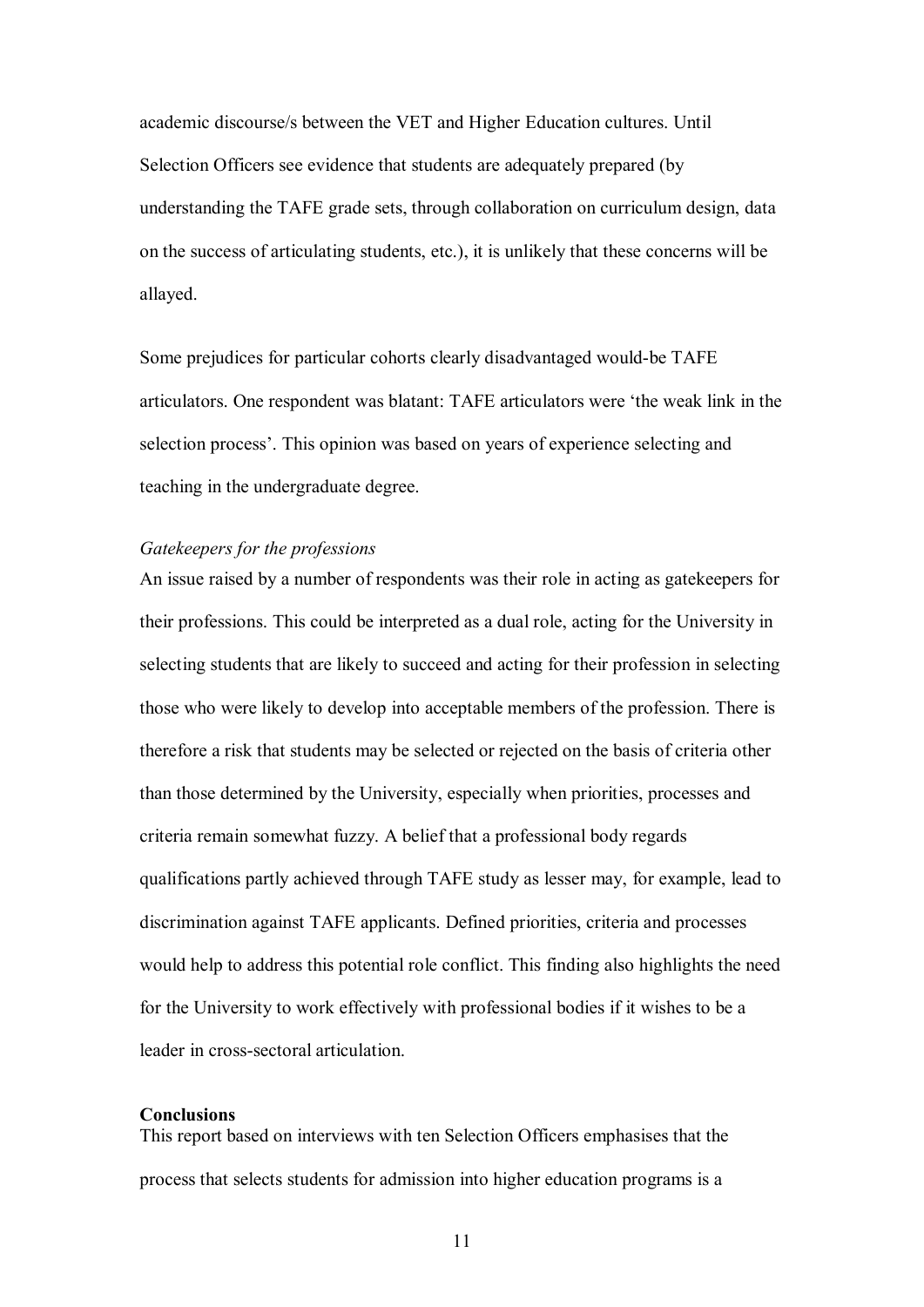academic discourse/s between the VET and Higher Education cultures. Until Selection Officers see evidence that students are adequately prepared (by understanding the TAFE grade sets, through collaboration on curriculum design, data on the success of articulating students, etc.), it is unlikely that these concerns will be allayed.

Some prejudices for particular cohorts clearly disadvantaged would-be TAFE articulators. One respondent was blatant: TAFE articulators were 'the weak link in the selection process'. This opinion was based on years of experience selecting and teaching in the undergraduate degree.

## *Gatekeepers for the professions*

An issue raised by a number of respondents was their role in acting as gatekeepers for their professions. This could be interpreted as a dual role, acting for the University in selecting students that are likely to succeed and acting for their profession in selecting those who were likely to develop into acceptable members of the profession. There is therefore a risk that students may be selected or rejected on the basis of criteria other than those determined by the University, especially when priorities, processes and criteria remain somewhat fuzzy. A belief that a professional body regards qualifications partly achieved through TAFE study as lesser may, for example, lead to discrimination against TAFE applicants. Defined priorities, criteria and processes would help to address this potential role conflict. This finding also highlights the need for the University to work effectively with professional bodies if it wishes to be a leader in cross-sectoral articulation.

#### **Conclusions**

This report based on interviews with ten Selection Officers emphasises that the process that selects students for admission into higher education programs is a

11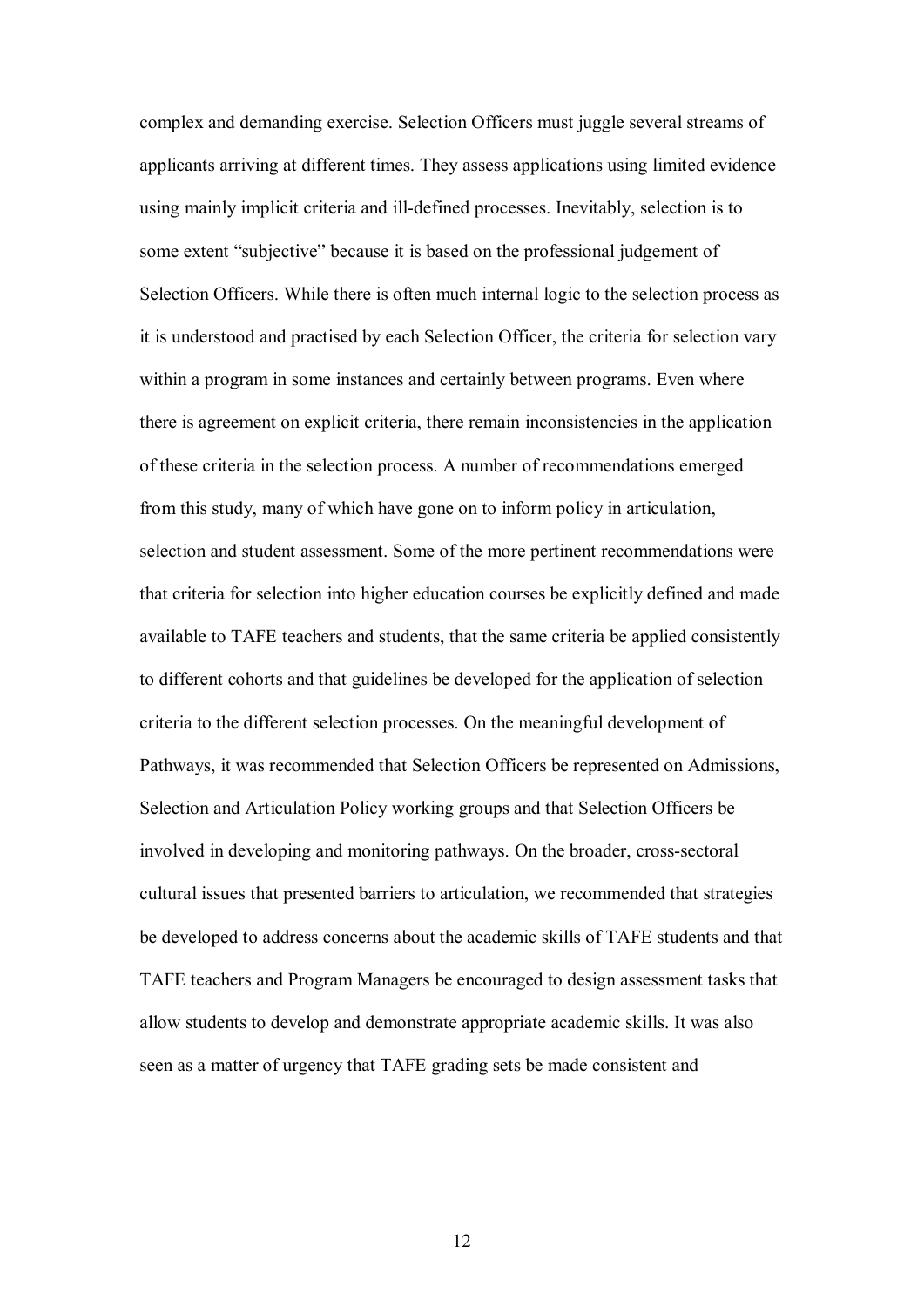complex and demanding exercise. Selection Officers must juggle several streams of applicants arriving at different times. They assess applications using limited evidence using mainly implicit criteria and ill-defined processes. Inevitably, selection is to some extent "subjective" because it is based on the professional judgement of Selection Officers. While there is often much internal logic to the selection process as it is understood and practised by each Selection Officer, the criteria for selection vary within a program in some instances and certainly between programs. Even where there is agreement on explicit criteria, there remain inconsistencies in the application of these criteria in the selection process. A number of recommendations emerged from this study, many of which have gone on to inform policy in articulation, selection and student assessment. Some of the more pertinent recommendations were that criteria for selection into higher education courses be explicitly defined and made available to TAFE teachers and students, that the same criteria be applied consistently to different cohorts and that guidelines be developed for the application of selection criteria to the different selection processes. On the meaningful development of Pathways, it was recommended that Selection Officers be represented on Admissions, Selection and Articulation Policy working groups and that Selection Officers be involved in developing and monitoring pathways. On the broader, cross-sectoral cultural issues that presented barriers to articulation, we recommended that strategies be developed to address concerns about the academic skills of TAFE students and that TAFE teachers and Program Managers be encouraged to design assessment tasks that allow students to develop and demonstrate appropriate academic skills. It was also seen as a matter of urgency that TAFE grading sets be made consistent and

12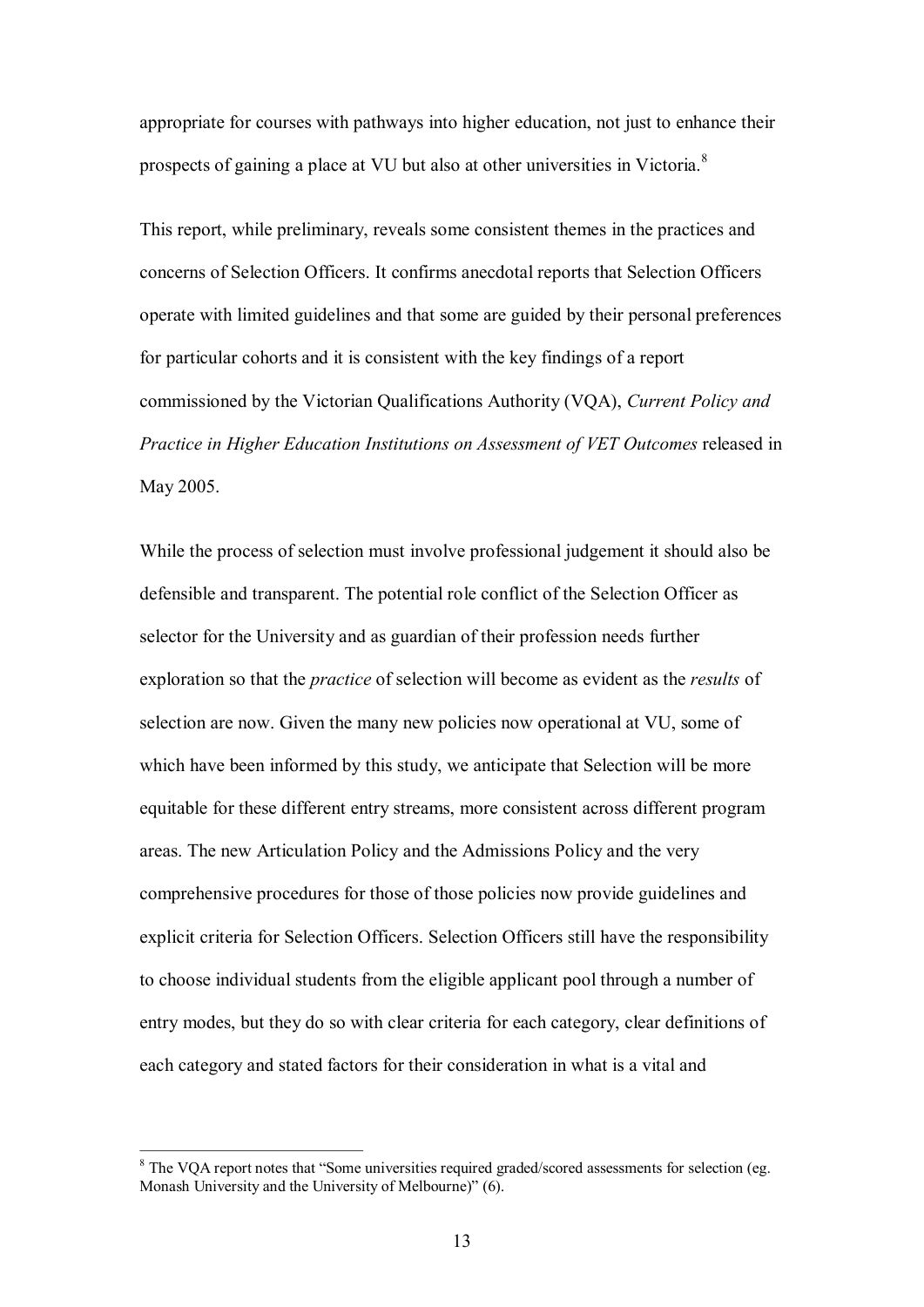appropriate for courses with pathways into higher education, not just to enhance their prospects of gaining a place at VU but also at other universities in Victoria.<sup>8</sup>

This report, while preliminary, reveals some consistent themes in the practices and concerns of Selection Officers. It confirms anecdotal reports that Selection Officers operate with limited guidelines and that some are guided by their personal preferences for particular cohorts and it is consistent with the key findings of a report commissioned by the Victorian Qualifications Authority (VQA), *Current Policy and Practice in Higher Education Institutions on Assessment of VET Outcomes* released in May 2005.

While the process of selection must involve professional judgement it should also be defensible and transparent. The potential role conflict of the Selection Officer as selector for the University and as guardian of their profession needs further exploration so that the *practice* of selection will become as evident as the *results* of selection are now. Given the many new policies now operational at VU, some of which have been informed by this study, we anticipate that Selection will be more equitable for these different entry streams, more consistent across different program areas. The new Articulation Policy and the Admissions Policy and the very comprehensive procedures for those of those policies now provide guidelines and explicit criteria for Selection Officers. Selection Officers still have the responsibility to choose individual students from the eligible applicant pool through a number of entry modes, but they do so with clear criteria for each category, clear definitions of each category and stated factors for their consideration in what is a vital and

<sup>&</sup>lt;sup>8</sup> The VOA report notes that "Some universities required graded/scored assessments for selection (eg. Monash University and the University of Melbourne)" (6).